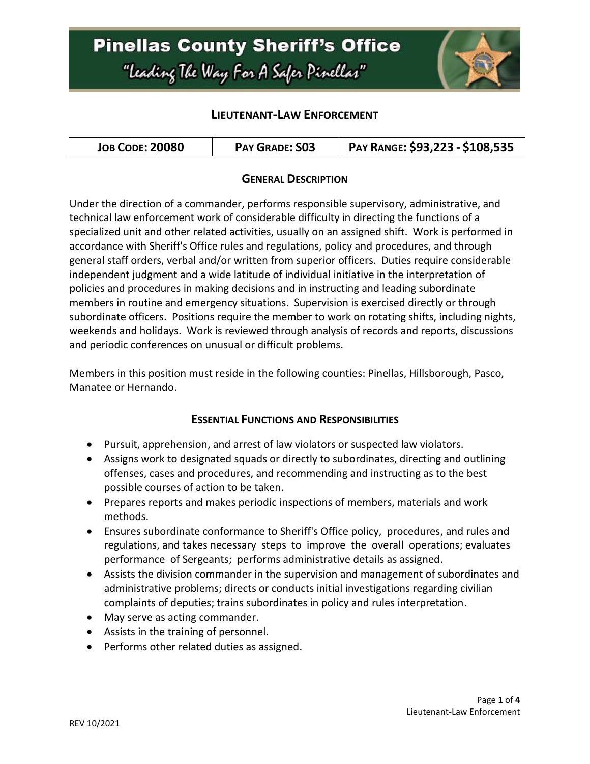# **Pinellas County Sheriff's Office** "Leading The Way For A Safer Pinellar"



## **LIEUTENANT-LAW ENFORCEMENT**

| <b>JOB CODE: 20080</b> | <b>PAY GRADE: S03</b> | PAY RANGE: \$93,223 - \$108,535 |
|------------------------|-----------------------|---------------------------------|
|------------------------|-----------------------|---------------------------------|

#### **GENERAL DESCRIPTION**

Under the direction of a commander, performs responsible supervisory, administrative, and technical law enforcement work of considerable difficulty in directing the functions of a specialized unit and other related activities, usually on an assigned shift. Work is performed in accordance with Sheriff's Office rules and regulations, policy and procedures, and through general staff orders, verbal and/or written from superior officers. Duties require considerable independent judgment and a wide latitude of individual initiative in the interpretation of policies and procedures in making decisions and in instructing and leading subordinate members in routine and emergency situations. Supervision is exercised directly or through subordinate officers. Positions require the member to work on rotating shifts, including nights, weekends and holidays. Work is reviewed through analysis of records and reports, discussions and periodic conferences on unusual or difficult problems.

Members in this position must reside in the following counties: Pinellas, Hillsborough, Pasco, Manatee or Hernando.

#### **ESSENTIAL FUNCTIONS AND RESPONSIBILITIES**

- Pursuit, apprehension, and arrest of law violators or suspected law violators.
- Assigns work to designated squads or directly to subordinates, directing and outlining offenses, cases and procedures, and recommending and instructing as to the best possible courses of action to be taken.
- Prepares reports and makes periodic inspections of members, materials and work methods.
- Ensures subordinate conformance to Sheriff's Office policy, procedures, and rules and regulations, and takes necessary steps to improve the overall operations; evaluates performance of Sergeants; performs administrative details as assigned.
- Assists the division commander in the supervision and management of subordinates and administrative problems; directs or conducts initial investigations regarding civilian complaints of deputies; trains subordinates in policy and rules interpretation.
- May serve as acting commander.
- Assists in the training of personnel.
- Performs other related duties as assigned.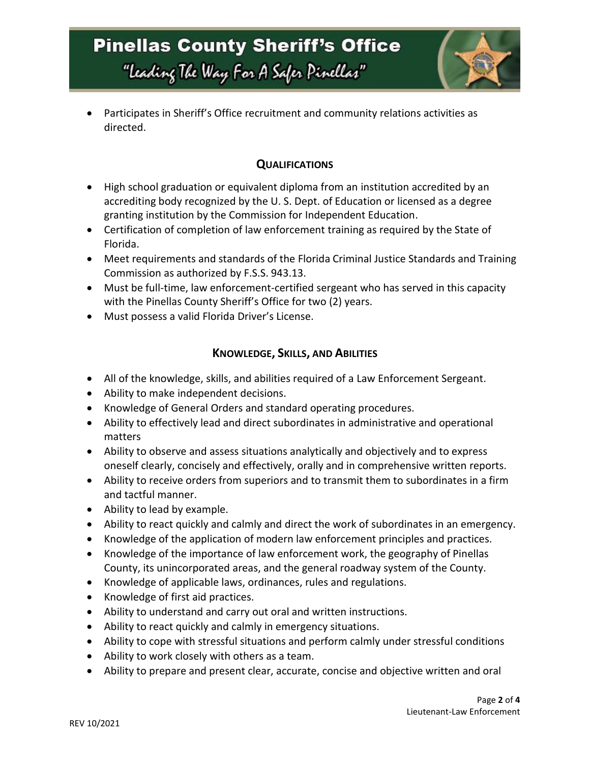

 Participates in Sheriff's Office recruitment and community relations activities as directed.

### **QUALIFICATIONS**

- High school graduation or equivalent diploma from an institution accredited by an accrediting body recognized by the U. S. Dept. of Education or licensed as a degree granting institution by the Commission for Independent Education.
- Certification of completion of law enforcement training as required by the State of Florida.
- Meet requirements and standards of the Florida Criminal Justice Standards and Training Commission as authorized by F.S.S. 943.13.
- Must be full-time, law enforcement-certified sergeant who has served in this capacity with the Pinellas County Sheriff's Office for two (2) years.
- Must possess a valid Florida Driver's License.

## **KNOWLEDGE, SKILLS, AND ABILITIES**

- All of the knowledge, skills, and abilities required of a Law Enforcement Sergeant.
- Ability to make independent decisions.
- Knowledge of General Orders and standard operating procedures.
- Ability to effectively lead and direct subordinates in administrative and operational matters
- Ability to observe and assess situations analytically and objectively and to express oneself clearly, concisely and effectively, orally and in comprehensive written reports.
- Ability to receive orders from superiors and to transmit them to subordinates in a firm and tactful manner.
- Ability to lead by example.
- Ability to react quickly and calmly and direct the work of subordinates in an emergency.
- Knowledge of the application of modern law enforcement principles and practices.
- Knowledge of the importance of law enforcement work, the geography of Pinellas County, its unincorporated areas, and the general roadway system of the County.
- Knowledge of applicable laws, ordinances, rules and regulations.
- Knowledge of first aid practices.
- Ability to understand and carry out oral and written instructions.
- Ability to react quickly and calmly in emergency situations.
- Ability to cope with stressful situations and perform calmly under stressful conditions
- Ability to work closely with others as a team.
- Ability to prepare and present clear, accurate, concise and objective written and oral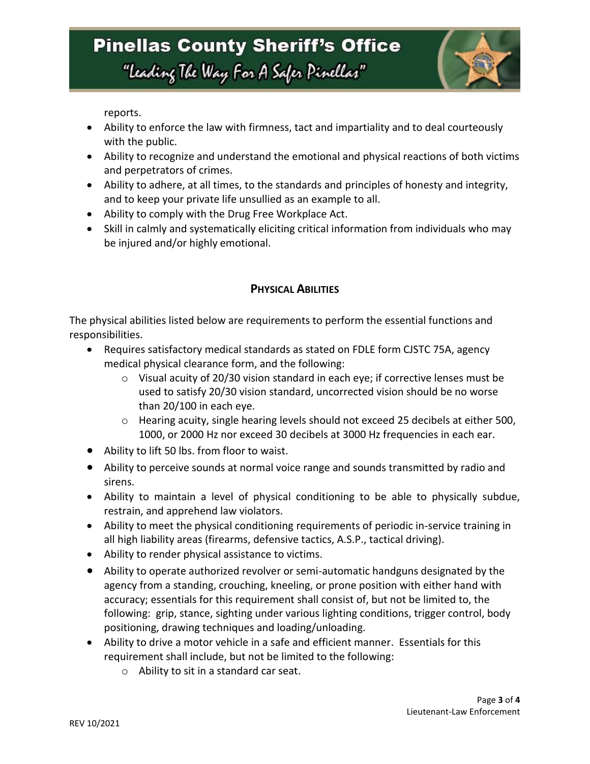

reports.

- Ability to enforce the law with firmness, tact and impartiality and to deal courteously with the public.
- Ability to recognize and understand the emotional and physical reactions of both victims and perpetrators of crimes.
- Ability to adhere, at all times, to the standards and principles of honesty and integrity, and to keep your private life unsullied as an example to all.
- Ability to comply with the Drug Free Workplace Act.
- Skill in calmly and systematically eliciting critical information from individuals who may be injured and/or highly emotional.

# **PHYSICAL ABILITIES**

The physical abilities listed below are requirements to perform the essential functions and responsibilities.

- Requires satisfactory medical standards as stated on FDLE form CJSTC 75A, agency medical physical clearance form, and the following:
	- $\circ$  Visual acuity of 20/30 vision standard in each eye; if corrective lenses must be used to satisfy 20/30 vision standard, uncorrected vision should be no worse than 20/100 in each eye.
	- o Hearing acuity, single hearing levels should not exceed 25 decibels at either 500, 1000, or 2000 Hz nor exceed 30 decibels at 3000 Hz frequencies in each ear.
- Ability to lift 50 lbs. from floor to waist.
- Ability to perceive sounds at normal voice range and sounds transmitted by radio and sirens.
- Ability to maintain a level of physical conditioning to be able to physically subdue, restrain, and apprehend law violators.
- Ability to meet the physical conditioning requirements of periodic in-service training in all high liability areas (firearms, defensive tactics, A.S.P., tactical driving).
- Ability to render physical assistance to victims.
- Ability to operate authorized revolver or semi-automatic handguns designated by the agency from a standing, crouching, kneeling, or prone position with either hand with accuracy; essentials for this requirement shall consist of, but not be limited to, the following: grip, stance, sighting under various lighting conditions, trigger control, body positioning, drawing techniques and loading/unloading.
- Ability to drive a motor vehicle in a safe and efficient manner. Essentials for this requirement shall include, but not be limited to the following:
	- o Ability to sit in a standard car seat.